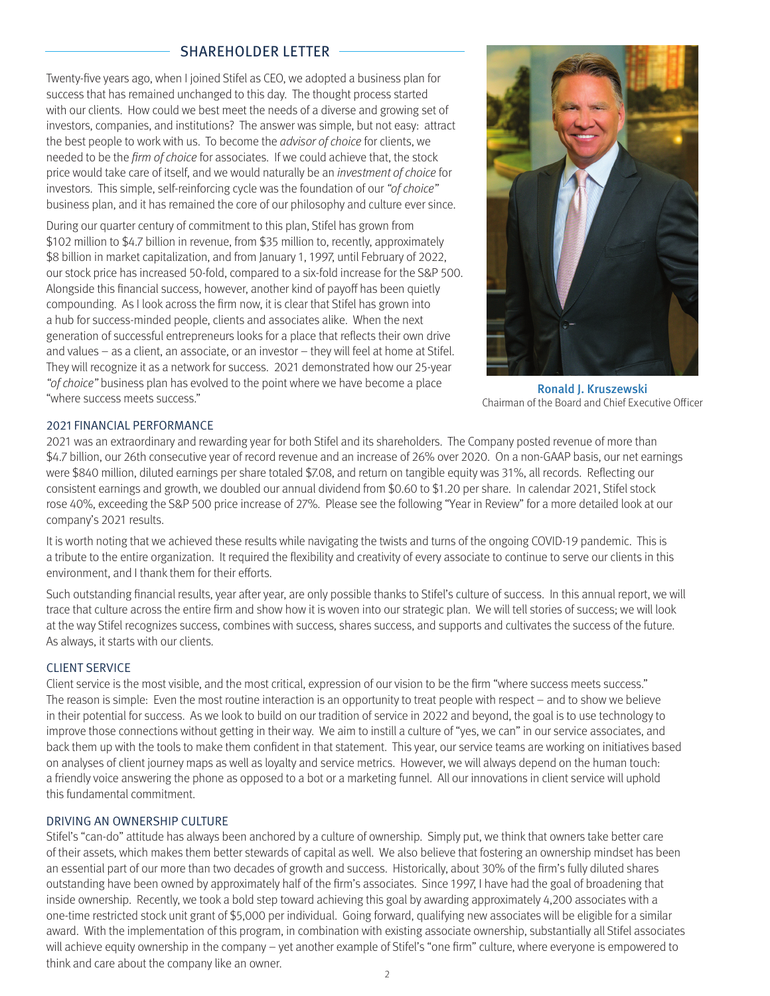# SHAREHOLDER LETTER

Twenty-five years ago, when I joined Stifel as CEO, we adopted a business plan for success that has remained unchanged to this day. The thought process started with our clients. How could we best meet the needs of a diverse and growing set of investors, companies, and institutions? The answer was simple, but not easy: attract the best people to work with us. To become the *advisor of choice* for clients, we needed to be the firm of choice for associates. If we could achieve that, the stock price would take care of itself, and we would naturally be an investment of choice for investors. This simple, self-reinforcing cycle was the foundation of our "of choice" business plan, and it has remained the core of our philosophy and culture ever since.

During our quarter century of commitment to this plan, Stifel has grown from \$102 million to \$4.7 billion in revenue, from \$35 million to, recently, approximately \$8 billion in market capitalization, and from January 1, 1997, until February of 2022, our stock price has increased 50-fold, compared to a six-fold increase for the S&P 500. Alongside this financial success, however, another kind of payoff has been quietly compounding. As I look across the firm now, it is clear that Stifel has grown into a hub for success-minded people, clients and associates alike. When the next generation of successful entrepreneurs looks for a place that reflects their own drive and values – as a client, an associate, or an investor – they will feel at home at Stifel. They will recognize it as a network for success. 2021 demonstrated how our 25-year "of choice" business plan has evolved to the point where we have become a place "where success meets success."



Ronald J. Kruszewski Chairman of the Board and Chief Executive Officer

## 2021 FINANCIAL PERFORMANCE

2021 was an extraordinary and rewarding year for both Stifel and its shareholders. The Company posted revenue of more than \$4.7 billion, our 26th consecutive year of record revenue and an increase of 26% over 2020. On a non-GAAP basis, our net earnings were \$840 million, diluted earnings per share totaled \$7.08, and return on tangible equity was 31%, all records. Reflecting our consistent earnings and growth, we doubled our annual dividend from \$0.60 to \$1.20 per share. In calendar 2021, Stifel stock rose 40%, exceeding the S&P 500 price increase of 27%. Please see the following "Year in Review" for a more detailed look at our company's 2021 results.

It is worth noting that we achieved these results while navigating the twists and turns of the ongoing COVID-19 pandemic. This is a tribute to the entire organization. It required the flexibility and creativity of every associate to continue to serve our clients in this environment, and I thank them for their efforts.

Such outstanding financial results, year after year, are only possible thanks to Stifel's culture of success. In this annual report, we will trace that culture across the entire firm and show how it is woven into our strategic plan. We will tell stories of success; we will look at the way Stifel recognizes success, combines with success, shares success, and supports and cultivates the success of the future. As always, it starts with our clients.

### CLIENT SERVICE

Client service is the most visible, and the most critical, expression of our vision to be the firm "where success meets success." The reason is simple: Even the most routine interaction is an opportunity to treat people with respect – and to show we believe in their potential for success. As we look to build on our tradition of service in 2022 and beyond, the goal is to use technology to improve those connections without getting in their way. We aim to instill a culture of "yes, we can" in our service associates, and back them up with the tools to make them confident in that statement. This year, our service teams are working on initiatives based on analyses of client journey maps as well as loyalty and service metrics. However, we will always depend on the human touch: a friendly voice answering the phone as opposed to a bot or a marketing funnel. All our innovations in client service will uphold this fundamental commitment.

#### DRIVING AN OWNERSHIP CULTURE

Stifel's "can-do" attitude has always been anchored by a culture of ownership. Simply put, we think that owners take better care of their assets, which makes them better stewards of capital as well. We also believe that fostering an ownership mindset has been an essential part of our more than two decades of growth and success. Historically, about 30% of the firm's fully diluted shares outstanding have been owned by approximately half of the firm's associates. Since 1997, I have had the goal of broadening that inside ownership. Recently, we took a bold step toward achieving this goal by awarding approximately 4,200 associates with a one-time restricted stock unit grant of \$5,000 per individual. Going forward, qualifying new associates will be eligible for a similar award. With the implementation of this program, in combination with existing associate ownership, substantially all Stifel associates will achieve equity ownership in the company – yet another example of Stifel's "one firm" culture, where everyone is empowered to think and care about the company like an owner.